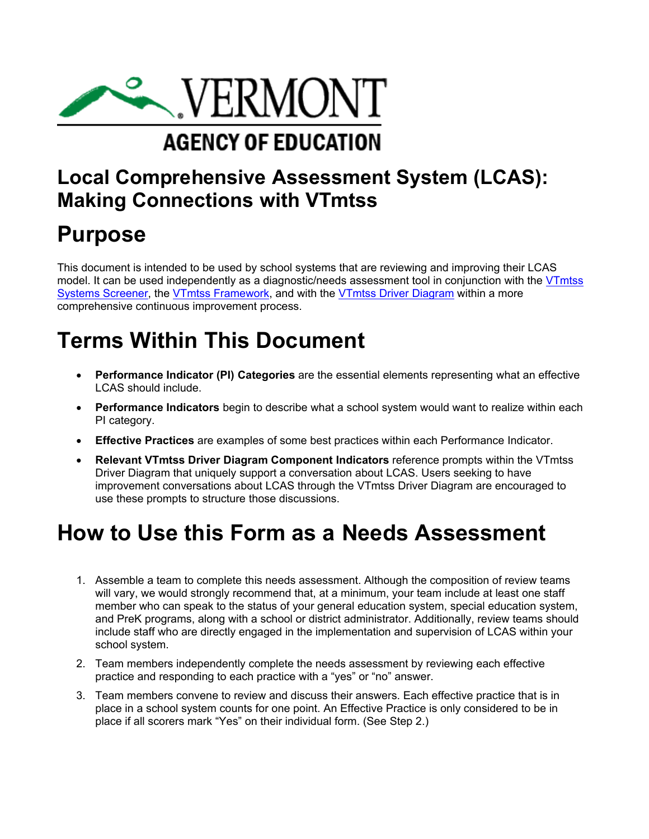

# **Local Comprehensive Assessment System (LCAS): Making Connections with VTmtss**

# **Purpose**

This document is intended to be used by school systems that are reviewing and improving their LCAS model. It can be used independently as a diagnostic/needs assessment tool in conjunction with the [VTmtss](https://education.vermont.gov/documents/edu-vtmtss-system-screener)  [Systems Screener,](https://education.vermont.gov/documents/edu-vtmtss-system-screener) the [VTmtss Framework](https://education.vermont.gov/documents/edu-vtmtss-field-guide-2019), and with the [VTmtss Driver Diagram](https://education.vermont.gov/documents/vtmtss-driver-diagram) within a more comprehensive continuous improvement process.

# **Terms Within This Document**

- **Performance Indicator (PI) Categories** are the essential elements representing what an effective LCAS should include.
- **Performance Indicators** begin to describe what a school system would want to realize within each PI category.
- **Effective Practices** are examples of some best practices within each Performance Indicator.
- **Relevant VTmtss Driver Diagram Component Indicators** reference prompts within the VTmtss Driver Diagram that uniquely support a conversation about LCAS. Users seeking to have improvement conversations about LCAS through the VTmtss Driver Diagram are encouraged to use these prompts to structure those discussions.

# **How to Use this Form as a Needs Assessment**

- 1. Assemble a team to complete this needs assessment. Although the composition of review teams will vary, we would strongly recommend that, at a minimum, your team include at least one staff member who can speak to the status of your general education system, special education system, and PreK programs, along with a school or district administrator. Additionally, review teams should include staff who are directly engaged in the implementation and supervision of LCAS within your school system.
- 2. Team members independently complete the needs assessment by reviewing each effective practice and responding to each practice with a "yes" or "no" answer.
- place if all scorers mark "Yes" on their individual form. (See Step 2.)3. Team members convene to review and discuss their answers. Each effective practice that is in place in a school system counts for one point. An Effective Practice is only considered to be in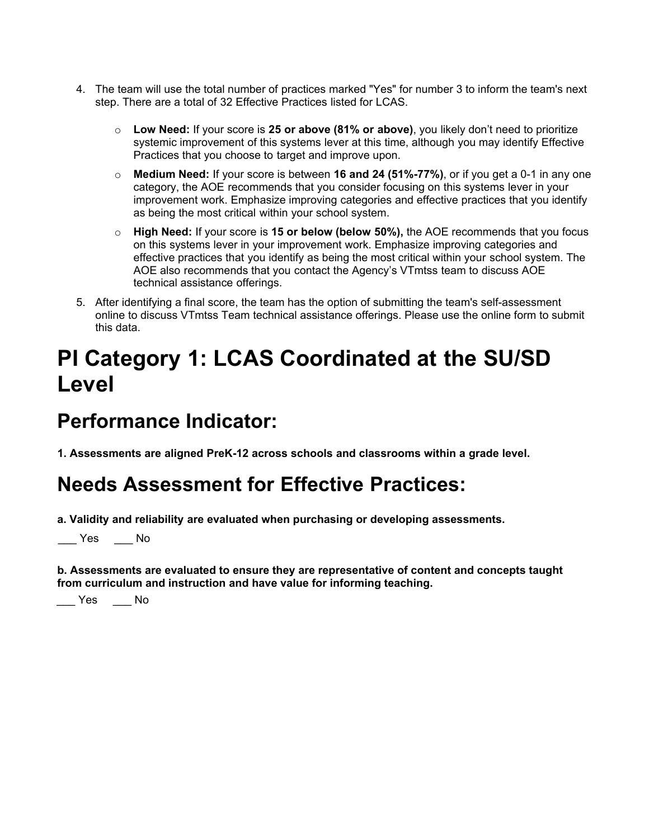- 4. The team will use the total number of practices marked "Yes" for number 3 to inform the team's next step. There are a total of 32 Effective Practices listed for LCAS.
	- o **Low Need:** If your score is **25 or above (81% or above)**, you likely don't need to prioritize systemic improvement of this systems lever at this time, although you may identify Effective Practices that you choose to target and improve upon.
	- o **Medium Need:** If your score is between **16 and 24 (51%-77%)**, or if you get a 0-1 in any one category, the AOE recommends that you consider focusing on this systems lever in your improvement work. Emphasize improving categories and effective practices that you identify as being the most critical within your school system.
	- o **High Need:** If your score is **15 or below (below 50%),** the AOE recommends that you focus on this systems lever in your improvement work. Emphasize improving categories and effective practices that you identify as being the most critical within your school system. The AOE also recommends that you contact the Agency's VTmtss team to discuss AOE technical assistance offerings.
- 5. After identifying a final score, the team has the option of submitting the team's self-assessment online to discuss VTmtss Team technical assistance offerings. Please use the online form to submit this data.

# **PI Category 1: LCAS Coordinated at the SU/SD Level**

# **Performance Indicator:**

**1. Assessments are aligned PreK-12 across schools and classrooms within a grade level.**

## **Needs Assessment for Effective Practices:**

**a. Validity and reliability are evaluated when purchasing or developing assessments.**

 $\_\_\$  Yes  $\_\_\_\$  No

**b. Assessments are evaluated to ensure they are representative of content and concepts taught from curriculum and instruction and have value for informing teaching.**

\_\_\_ Yes \_\_\_ No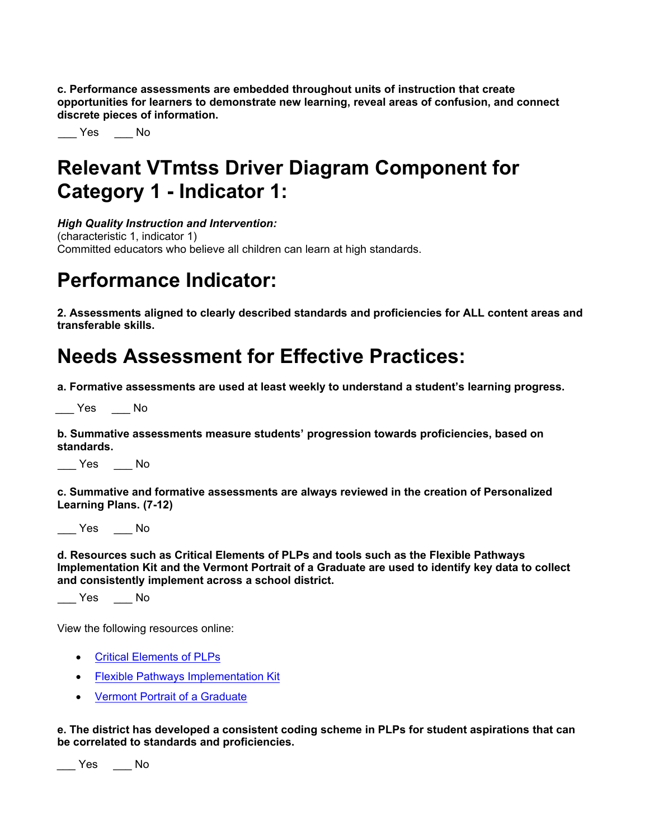**c. Performance assessments are embedded throughout units of instruction that create opportunities for learners to demonstrate new learning, reveal areas of confusion, and connect discrete pieces of information.**

\_\_\_ Yes \_\_\_ No

## **Relevant VTmtss Driver Diagram Component for Category 1 - Indicator 1:**

*High Quality Instruction and Intervention:*

(characteristic 1, indicator 1) Committed educators who believe all children can learn at high standards.

# **Performance Indicator:**

**2. Assessments aligned to clearly described standards and proficiencies for ALL content areas and transferable skills.**

# **Needs Assessment for Effective Practices:**

**a. Formative assessments are used at least weekly to understand a student's learning progress.**

\_\_\_ Yes \_\_\_ No

**b. Summative assessments measure students' progression towards proficiencies, based on standards.**

\_\_\_ Yes \_\_\_ No

**c. Summative and formative assessments are always reviewed in the creation of Personalized Learning Plans. (7-12)**

 $\rule{1em}{0.15mm}$  Yes  $\rule{1em}{0.15mm}$  No

**d. Resources such as Critical Elements of PLPs and tools such as the Flexible Pathways Implementation Kit and the Vermont Portrait of a Graduate are used to identify key data to collect and consistently implement across a school district.**

 $\_\_\$  Yes  $\_\_\_\$  No

View the following resources online:

- [Critical Elements of PLPs](https://education.vermont.gov/documents/personalized-learning-plan-critical-elements)
- **[F](https://education.vermont.gov/student-learning/flexible-pathways)[lexible Pathways Implementation Ki](https://education.vermont.gov/sites/aoe/files/documents/edu-plp-critical-elements.pdf)[t](https://education.vermont.gov/student-learning/flexible-pathways)**
- [Vermont Portrait of a Graduate](https://education.vermont.gov/documents/edu-pog)

**e. The district has developed a consistent coding scheme in PLPs for student aspirations that can be correlated to standards and proficiencies.**

\_\_\_ Yes \_\_\_ No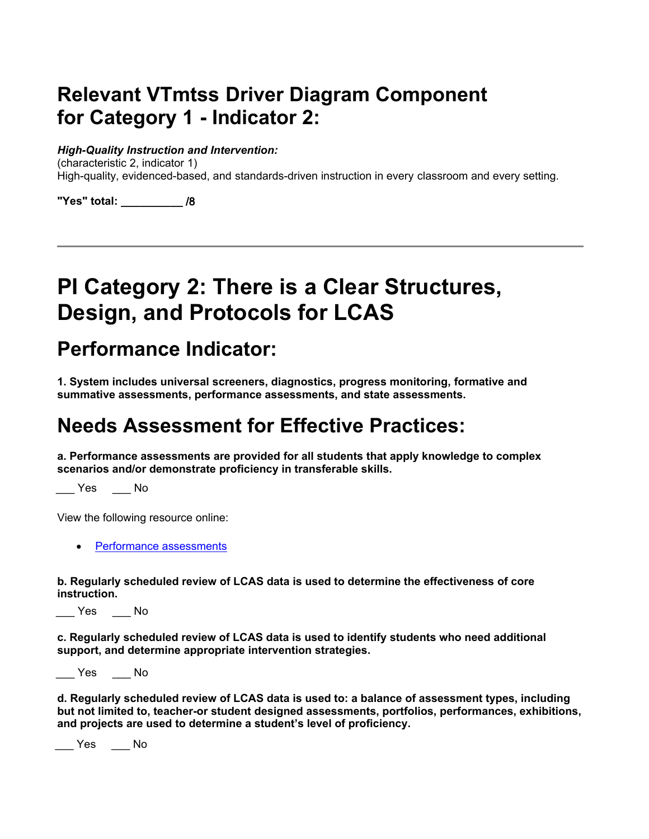# **Relevant VTmtss Driver Diagram Component for Category 1 - Indicator 2:**

#### *High-Quality Instruction and Intervention:*

(characteristic 2, indicator 1) High-quality, evidenced-based, and standards-driven instruction in every classroom and every setting.

**"Yes" total: \_\_\_\_\_\_\_\_\_\_** /8

# **PI Category 2: There is a Clear Structures, Design, and Protocols for LCAS**

### **Performance Indicator:**

**1. System includes universal screeners, diagnostics, progress monitoring, formative and summative assessments, performance assessments, and state assessments.**

## **Needs Assessment for Effective Practices:**

**a. Performance assessments are provided for all students that apply knowledge to complex scenarios and/or demonstrate proficiency in transferable skills.**

 $\sqrt{2}$  Yes  $\sqrt{2}$  No

View the following resource online:

• [Performance assessments](https://education.vermont.gov/student-learning/assessments/state-and-local-assessments)

**b. Regularly scheduled review of LCAS data is used to determine the effectiveness of core instruction.**

\_\_\_ Yes \_\_\_ No

**c. Regularly scheduled review of LCAS data is used to identify students who need additional support, and determine appropriate intervention strategies.**

\_\_\_ Yes \_\_\_ No

**d. Regularly scheduled review of LCAS data is used to: a balance of assessment types, including but not limited to, teacher-or student designed assessments, portfolios, performances, exhibitions, and projects are used to determine a student's level of proficiency.**

 $\_\_\_\$  Yes  $\_\_\_\$  No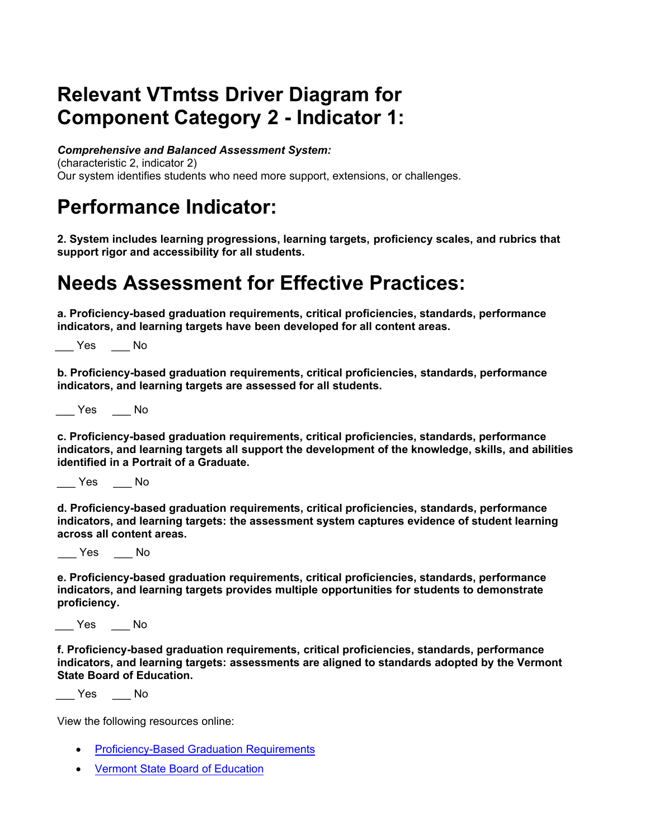# **Relevant VTmtss Driver Diagram for Component Category 2 - Indicator 1:**

*Comprehensive and Balanced Assessment System:*

(characteristic 2, indicator 2) Our system identifies students who need more support, extensions, or challenges.

# **Performance Indicator:**

**2. System includes learning progressions, learning targets, proficiency scales, and rubrics that support rigor and accessibility for all students.**

#### **Needs Assessment for Effective Practices:**

**a. Proficiency-based graduation requirements, critical proficiencies, standards, performance indicators, and learning targets have been developed for all content areas.**

\_\_\_ Yes \_\_\_ No

**b. Proficiency-based graduation requirements, critical proficiencies, standards, performance indicators, and learning targets are assessed for all students.**

\_\_\_ Yes \_\_\_ No

**c. Proficiency-based graduation requirements, critical proficiencies, standards, performance indicators, and learning targets all support the development of the knowledge, skills, and abilities identified in a Portrait of a Graduate.**

\_\_\_ Yes \_\_\_ No

 **indicators, and learning targets: the assessment system captures evidence of student learning d. Proficiency-based graduation requirements, critical proficiencies, standards, performance across all content areas.**

\_\_\_ Yes \_\_\_ No

**e. Proficiency-based graduation requirements, critical proficiencies, standards, performance indicators, and learning targets provides multiple opportunities for students to demonstrate proficiency.**

\_\_\_ Yes \_\_\_ No

**f. Proficiency-based graduation requirements, critical proficiencies, standards, performance indicators, and learning targets: assessments are aligned to standards adopted by the Vermont State Board of Education.**

\_\_\_ Yes \_\_\_ No

View the following resources online:

- [Proficiency-](https://education.vermont.gov/student-learning/proficiency-based-learning/proficiency-based-graduation-requirements)Based G[raduation](https://education.vermont.gov/student-learning/proficiency-based-learning/proficiency-based-graduation-requirements) Requirements
- [Vermont State Board of Education](https://education.vermont.gov/student-learning/content-areas)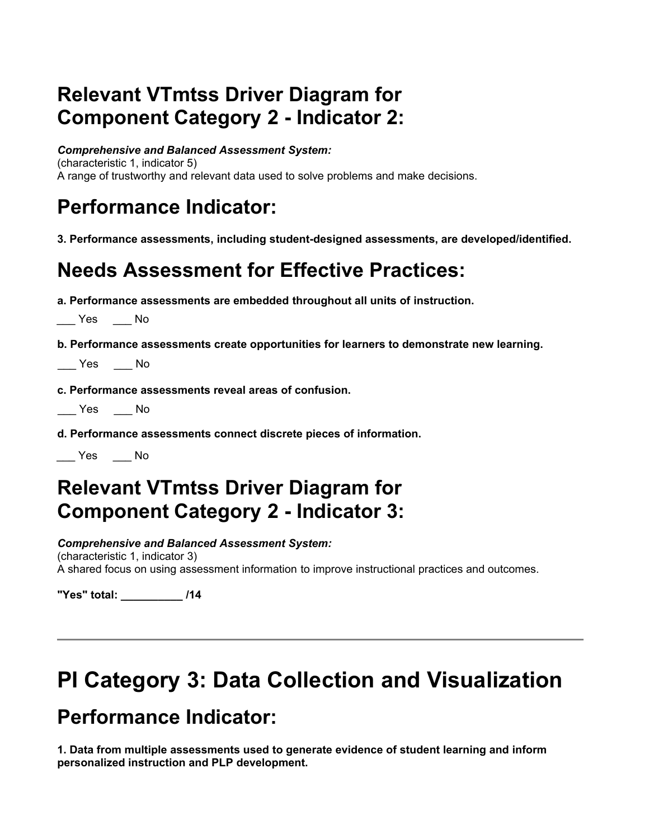# **Relevant VTmtss Driver Diagram for Component Category 2 - Indicator 2:**

*Comprehensive and Balanced Assessment System:* 

(characteristic 1, indicator 5) A range of trustworthy and relevant data used to solve problems and make decisions.

# **Performance Indicator:**

**3. Performance assessments, including student-designed assessments, are developed/identified.**

## **Needs Assessment for Effective Practices:**

**a. Performance assessments are embedded throughout all units of instruction.**

 $\frac{1}{2}$  Yes  $\frac{1}{2}$  No

**b. Performance assessments create opportunities for learners to demonstrate new learning.**

\_\_\_ Yes \_\_\_ No

**c. Performance assessments reveal areas of confusion.**

\_\_\_ Yes \_\_\_ No

**d. Performance assessments connect discrete pieces of information.**

\_\_\_ Yes \_\_\_ No

## **Relevant VTmtss Driver Diagram for Component Category 2 - Indicator 3:**

 *Comprehensive and Balanced Assessment System:*

 (characteristic 1, indicator 3) A shared focus on using assessment information to improve instructional practices and outcomes.

**"Yes" total: \_\_\_\_\_\_\_\_\_\_ /14**

# **PI Category 3: Data Collection and Visualization**

## **Performance Indicator:**

**1. Data from multiple assessments used to generate evidence of student learning and inform personalized instruction and PLP development.**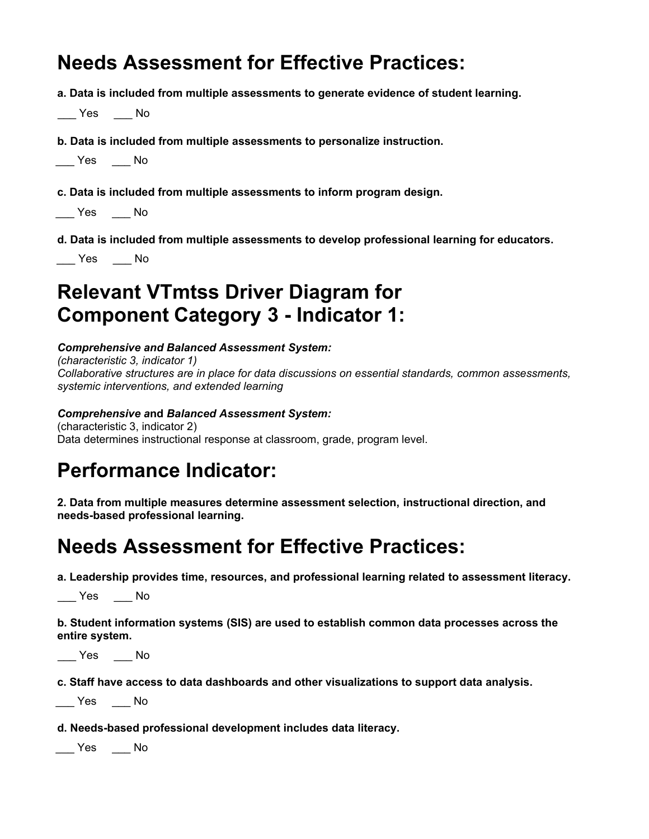## **Needs Assessment for Effective Practices:**

**a. Data is included from multiple assessments to generate evidence of student learning.**

 $\_\_\_\$  Yes  $\_\_\_\_\$  No

#### **b. Data is included from multiple assessments to personalize instruction.**

**c. Data is included from multiple assessments to inform program design.**

\_\_\_ Yes \_\_\_ No

 **d. Data is included from multiple assessments to develop professional learning for educators.**

\_\_\_ Yes \_\_\_ No

# **Relevant VTmtss Driver Diagram for Component Category 3 - Indicator 1:**

#### *Comprehensive and Balanced Assessment System:*

*(characteristic 3, indicator 1) Collaborative structures are in place for data discussions on essential standards, common assessments, systemic interventions, and extended learning* 

#### *Comprehensive a***nd** *Balanced Assessment System:*

(characteristic 3, indicator 2) Data determines instructional response at classroom, grade, program level.

## **Performance Indicator:**

**2. Data from multiple measures determine assessment selection, instructional direction, and needs-based professional learning.**

## **Needs Assessment for Effective Practices:**

**a. Leadership provides time, resources, and professional learning related to assessment literacy.**

\_\_\_ Yes \_\_\_ No

**b. Student information systems (SIS) are used to establish common data processes across the entire system.**

\_\_\_ Yes \_\_\_ No

**c. Staff have access to data dashboards and other visualizations to support data analysis.**

\_\_\_ Yes \_\_\_ No

**d. Needs-based professional development includes data literacy.**

\_\_\_ Yes \_\_\_ No